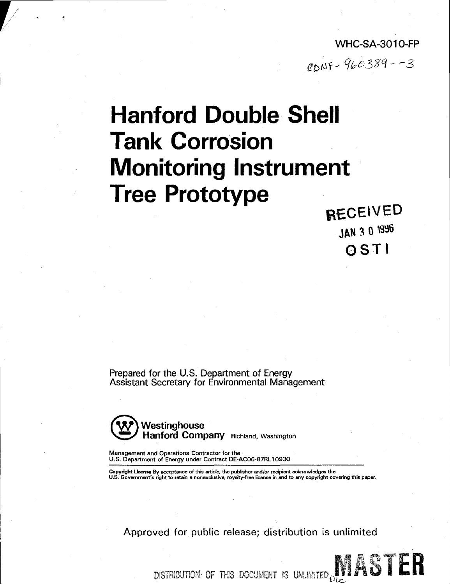**WHC-SA-3010-FP**   $CDNF-960389--3$ 

# **Hanford Double Shell Tank Corrosion Monitoring Instrument Tree Prototype**

**RECEIVED JAN 3 0 «96 OSTI** 

Prepared for the U.S. Department of Energy Assistant Secretary for Environmental Management



Management and Operations Contractor for the U.S. Department of Energy under Contract DE-AC06-87RL10930

Copyright **Licence** By acceptance of this article, the publisher and/or recipient acknowledges the U.S. Government's right to retain a nonexclusive, royalty-free license in and to any copyright covering this paper.

Approved for public release; distribution is unlimited

DISTRIBUTION OF THIS DOCUMENT IS UNLIMITED DUE AND THE R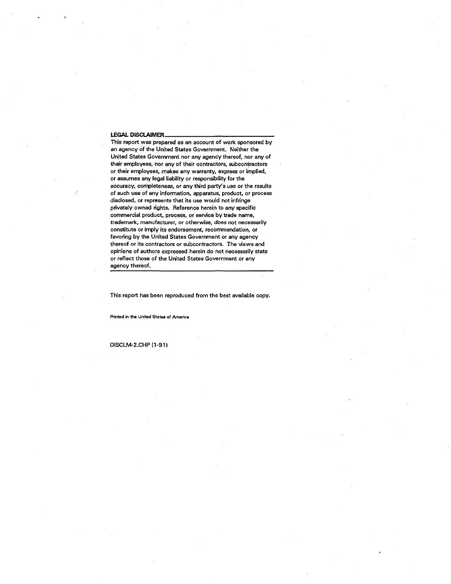#### **LEGAL DISCLAIMER**

This report was prepared as an account of work sponsored by an agency of the United States Government. Neither the United States Government nor any agency thereof, nor any of their employees, nor any of their contractors, subcontractors or their employees, makes any warranty, express or implied, or assumes any legal liability or responsibility for the accuracy, completeness, or any third party's use or the results of such use of any information, apparatus, product, or process disclosed, or represents that its use would not infringe privately owned rights. Reference herein to any specific commercial product, process, or service by trade name, trademark, manufacturer, or otherwise, does not necessarily constitute or imply its endorsement, recommendation, or favoring by the United States Government or any agency thereof or its contractors or subcontractors. The views and opinions of authors expressed herein do not necessarily state or reflect those of the United States Government or any agency thereof.

This report has been reproduced from the best available copy.

**Printed in the United States of America** 

DISCLM-2.CHP (1-91)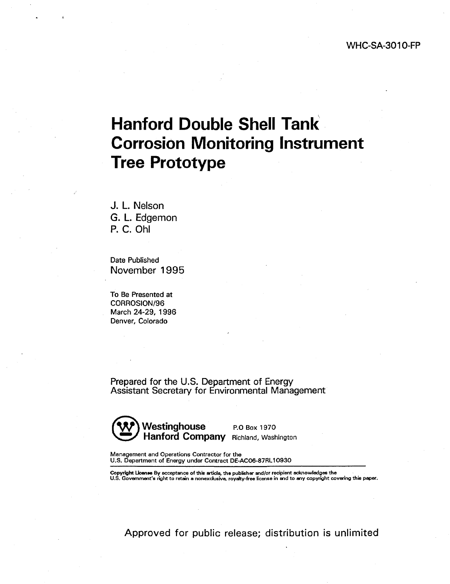# **Hanford Double Shell Tank Corrosion Monitoring Instrument Tree Prototype**

J. L. Nelson G. L. Edgemon P. C. Ohl

Date Published November 1995

To Be Presented at CORROSION/96 March 24-29, 1996 Denver, Colorado

Prepared for the U.S. Department of Energy Assistant Secretary for Environmental Management



Management and Operations Contractor for the U.S. Department of Energy under Contract DE-AC06-87RL10930

Copyright License By acceptance of this article, the publisher and/or recipient acknowledges the<br>U.S. Government's right to retain a nonexclusive, royalty-free license in and to any copyright covering this paper.

Approved for public release; distribution is unlimited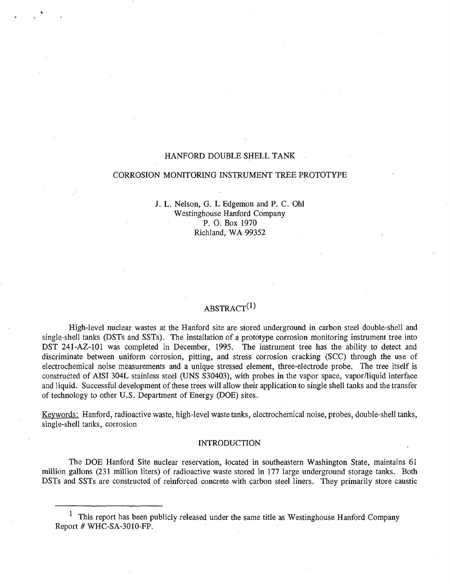# HANFORD DOUBLE SHELL TANK

### CORROSION MONITORING INSTRUMENT TREE PROTOTYPE

J. L. Nelson, G. L Edgemon and P. C. Ohl Westinghouse Hanford Company P. O. Box 1970 Richland, WA 99352

# ABSTRACT<sup>(1)</sup>

High-level nuclear wastes at the Hanford site are stored underground in carbon steel double-shell and single-shell tanks (DSTs and SSTs). The installation of a prototype corrosion monitoring instrument tree into DST 241-AZ-101 was completed in December, 1995. The instrument tree has the ability to detect and discriminate between uniform corrosion, pitting, and stress corrosion cracking (SCC) through the use of electrochemical noise measurements and a unique stressed element, three-electrode probe. The tree itself is constructed of AISI 304L stainless steel (UNS S30403), with probes in the vapor space, vapor/liquid interface and liquid. Successful development of these trees will allow their application to single shell tanks and the transfer of technology to other U.S. Department of Energy (DOE) sites.

Keywords: Hanford, radioactive waste, high-level waste tanks, electrochemical noise, probes, double-shell tanks, single-shell tanks, corrosion

#### INTRODUCTION

The DOE Hanford Site nuclear reservation, located in southeastern Washington State, maintains 61 million gallons (231 million liters) of radioactive waste stored in 177 large underground storage tanks. Both DSTs and SSTs are constructed of reinforced concrete with carbon steel liners. They primarily store caustic

<sup>&</sup>lt;sup>1</sup> This report has been publicly released under the same title as Westinghouse Hanford Company Report # WHC-SA-3010-FP.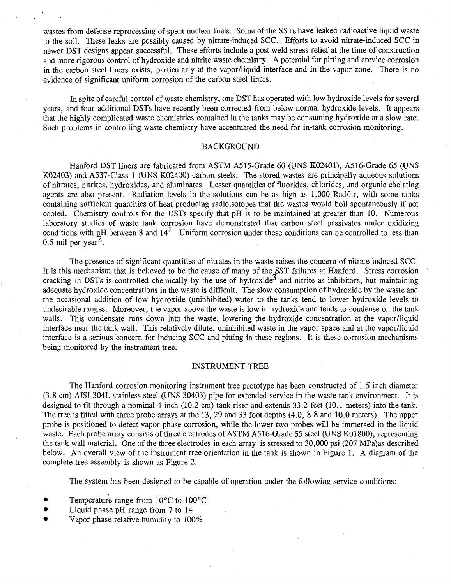wastes from defense reprocessing of spent nuclear fuels. Some of the SSTs have leaked radioactive liquid waste to the soil. These leaks are possibly caused by nitrate-induced SCC. Efforts to avoid nitrate-induced SCC in newer DST designs appear successful. These efforts include a post weld stress relief at the time of construction and more rigorous control of hydroxide and nitrite waste chemistry. A potential for pitting and crevice corrosion in the carbon steel liners exists, particularly at the vapor/liquid interface and in the vapor zone. There is no evidence of significant uniform corrosion of the carbon steel liners.

In spite of careful control of waste chemistry, one DST has operated with low hydroxide levels for several years, and four additional DSTs have recently been corrected from below normal hydroxide levels. It appears that the highly complicated waste chemistries contained in the tanks may be consuming hydroxide at a slow rate. Such problems in controlling waste chemistry have accentuated the need for in-tank corrosion monitoring.

# BACKGROUND

Hanford DST liners are fabricated from ASTM A515-Grade 60 (UNS K02401), A516-Grade 65 (UNS K02403) and A537-Class 1 (UNS K02400) carbon steels. The stored wastes are principally aqueous solutions of nitrates, nitrites, hydroxides, and aluminates. Lesser quantities of fluorides, chlorides, and organic chelating agents are also present. Radiation levels in the solutions can be as high as 1,000 Rad/hr, with some tanks containing sufficient quantities of heat producing radioisotopes that the wastes would boil spontaneously if not cooled. Chemistry controls for the DSTs specify that pH is to be maintained at greater than 10. Numerous laboratory studies of waste tank corrosion have demonstrated that carbon steel passivates under oxidizing conditions with pH between 8 and  $14<sup>1</sup>$ . Uniform corrosion under these conditions can be controlled to less than  $0.5$  mil per year<sup>2</sup>.

The presence of significant quantities of nitrates in the waste raises the concern of nitrate induced SCC. It is this mechanism that is believed to be the cause of many of the SST failures at Hanford. Stress corrosion cracking in DSTs is controlled chemically by the use of hydroxide<sup>3</sup> and nitrite as inhibitors, but maintaining adequate hydroxide concentrations in the waste is difficult. The slow consumption of hydroxide by the waste and the occasional addition of low hydroxide (uninhibited) water to the tanks tend to lower hydroxide levels to undesirable ranges. Moreover, the vapor above the waste is low in hydroxide and tends to condense on the tank walls. This condensate runs down into the waste, lowering the hydroxide concentration at the vapor/liquid interface near the tank wall. This relatively dilute, uninhibited waste in the vapor space and at the vapor/liquid interface is a serious concern for inducing SCC and pitting in these regions. It is these corrosion mechanisms being monitored by the instrument tree.

#### INSTRUMENT TREE

The Hanford corrosion monitoring instrument tree prototype has been constructed of 1.5 inch diameter (3.8 cm) AISI 304L stainless steel (UNS 30403) pipe for extended service in the waste tank environment. It is designed to fit through a nominal 4 inch (10.2 cm) tank riser and extends 33.2 feet (10.1 meters) into the tank. The tree is fitted with three probe arrays at the 13, 29 and 33 foot depths (4.0, 8.8 and 10.0 meters). The upper probe is positioned to detect vapor phase corrosion, while the lower two probes will be immersed in the liquid waste. Each probe array consists of three electrodes of ASTM A516-Grade 55 steel (UNS K01800), representing the tank wall material. One of the three electrodes in each array is stressed to 30,000 psi (207 MPa)as described below. An overall view of the instrument tree orientation in the tank is shown in Figure 1. A diagram of the complete tree assembly is shown as Figure 2.

The system has been designed to be capable of operation under the following service conditions:

- Temperature range from 10°C to 100°C
- Liquid phase pH range from 7 to 14
- Vapor phase relative humidity to 100%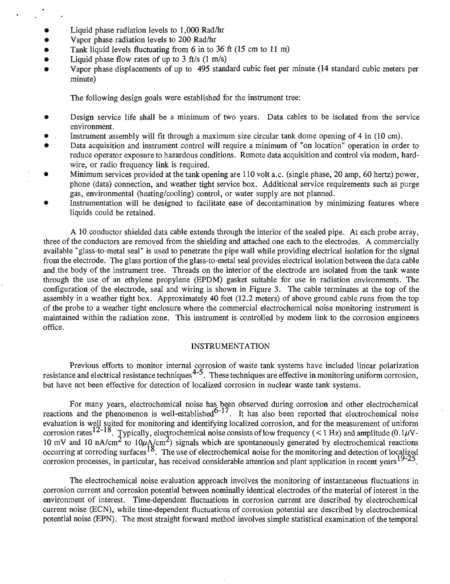- Liquid phase radiation levels to 1,000 Rad/hr
- Vapor phase radiation levels to 200 Rad/hr
- Tank liquid levels fluctuating from 6 in to 36 ft (15 cm to 11 m)
- Liquid phase flow rates of up to  $3$  ft/s  $(1 \text{ m/s})$
- Vapor phase displacements of up to 495 standard cubic feet per minute (14 standard cubic meters per minute)

The following design goals were established for the instrument tree:

- Design service life shall be a minimum of two years. Data cables to be isolated from the service environment.
- Instrument assembly will fit through a maximum size circular tank dome opening of 4 in (10 cm).
- Data acquisition and instrument control will require a minimum of "on location" operation in order to reduce operator exposure to hazardous conditions. Remote data acquisition and control via modem, hardwire, or radio frequency link is required.
- Minimum services provided at the tank opening are 110 volt a.c. (single phase, 20 amp, 60 hertz) power, phone (data) connection, and weather tight service box. Additional service requirements such as purge gas, environmental (heating/cooling) control, or water supply are not planned.
- Instrumentation will be designed to facilitate ease of decontamination by minimizing features where liquids could be retained.

A 10 conductor shielded data cable extends through the interior of the sealed pipe. At each probe array, three of the conductors are removed from the shielding and attached one each to the electrodes. A commercially available "glass-to-metal seal" is used to penetrate the pipe wall while providing electrical isolation for the signal from the electrode. The glass portion of the glass-to-metal seal provides electrical isolation between the data cable and.the body of the instrument tree. Threads on the interior of the electrode are isolated from the tank waste through the use of an ethylene propylene (EPDM) gasket suitable for use in radiation environments. The configuration of the electrode, seal and wiring is shown in Figure 3. The cable terminates at the top of the assembly in a weather tight box. Approximately 40 feet (12.2 meters) of above ground cable runs from the top of the probe to a weather tight enclosure where the commercial electrochemical noise monitoring instrument is maintained within the radiation zone. This instrument is controlled by modem link to the corrosion engineers office.

### INSTRUMENTATION

Previous efforts to monitor internal corrosion of waste tank systems have included linear polarization resistance and electrical resistance techniques  $4-5$ . These techniques are effective in monitoring uniform corrosion, but have not been effective for detection of localized corrosion in nuclear waste tank systems.

For many years, electrochemical noise has been observed during corrosion and other electrochemical reactions and the phenomenon is well-established $O^{-1}$ . It has also been reported that electrochemical noise evaluation is well suited for monitoring and identifying localized corrosion, and for the measurement of uniform corrosion rates  $12^{-18}$ . Typically, electrochemical noise consists of low frequency ( $\lt 1$  Hz) and amplitude (0.1 $\mu$ V-10 mV and 10 nA/cm<sup>2</sup> to 10 $\mu$ A/cm<sup>2</sup>) signals which are spontaneously generated by electrochemical reactions occurring at corroding surfaces  $18$ . The use of electrochemical noise for the monitoring and detection of localized corrosion processes, in particular, has received considerable attention and plant application in recent vears  $19-25$ .

The electrochemical noise evaluation approach involves the monitoring of instantaneous fluctuations in corrosion current and corrosion potential between nominally identical electrodes of the material of interest in the environment of interest. Time-dependent fluctuations in corrosion current are described by electrochemical current noise (ECN), while time-dependent fluctuations of corrosion potential are described by electrochemical potential noise (EPN). The most straight forward method involves simple statistical examination of the temporal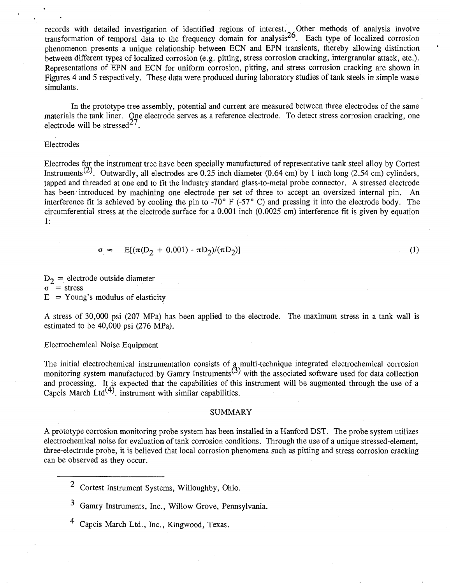records with detailed investigation of identified regions of interest. Other methods of analysis involve transformation of temporal data to the frequency domain for analysis<sup>26</sup>. Each type of localized corrosion phenomenon presents a unique relationship between ECN and EPN transients, thereby allowing distinction between different types of localized corrosion (e.g. pitting, stress corrosion cracking, intergranular attack, etc.). Representations of EPN and ECN for uniform corrosion, pitting, and stress corrosion cracking are shown in Figures 4 and 5 respectively. These data were produced during laboratory studies of tank steels in simple waste simulants.

In the prototype tree assembly, potential and current are measured between three electrodes of the same materials the tank liner. One electrode serves as a reference electrode. To detect stress corrosion cracking, one electrode will be stressed<sup>2'</sup>.

# Electrodes

Electrodes for the instrument tree have been specially manufactured of representative tank steel alloy by Cortest Instruments<sup>(2)</sup>. Outwardly, all electrodes are 0.25 inch diameter (0.64 cm) by 1 inch long (2.54 cm) cylinders, tapped and threaded at one end to fit the industry standard glass-to-metal probe connector. A stressed electrode has been introduced by machining one electrode per set of three to accept an oversized internal pin. An interference fit is achieved by cooling the pin to -70° F (-57° C) and pressing it into the electrode body. The circumferential stress at the electrode surface for a 0.001 inch (0.0025 cm) interference fit is given by equation 1:

$$
\sigma \approx \mathbb{E}[(\pi(\mathbf{D}_2 + 0.001) - \pi \mathbf{D}_2)/(\pi \mathbf{D}_2)] \tag{1}
$$

*T>2 —* electrode outside diameter  $\sigma$  = stress  $E = Young's$  modulus of elasticity

A stress of 30,000 psi (207 MPa) has been applied to the electrode. The maximum stress in a tank wall is estimated to be 40,000 psi (276 MPa).

#### Electrochemical Noise Equipment

The initial electrochemical instrumentation consists of a multi-technique integrated electrochemical corrosion monitoring system manufactured by Gamry Instruments<sup>(3)</sup> with the associated software used for data collection and processing. It is expected that the capabilities of this instrument will be augmented through the use of a Capcis March Ltd<sup>(4)</sup>. instrument with similar capabilities.

# SUMMARY

A prototype corrosion monitoring probe system has been installed in a Hanford DST. The probe system utilizes electrochemical noise for evaluation of tank corrosion conditions. Through the use of a unique stressed-element, three-electrode probe, it is believed that local corrosion phenomena such as pitting and stress corrosion cracking can be observed as they occur.

- Cortest Instrument Systems, Willoughby, Ohio.
- Gamry Instruments, Inc., Willow Grove, Pennsylvania.
- Capcis March Ltd., Inc., Kingwood, Texas.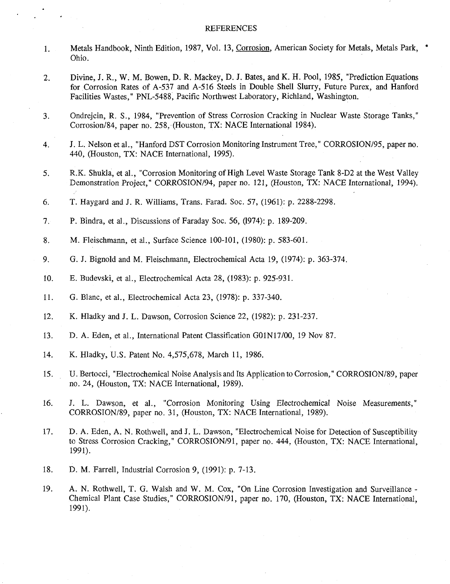## REFERENCES

- Metals Handbook, Ninth Edition, 1987, Vol. 13, Corrosion. American Society for Metals, Metals Park, '  $1.$ Ohio.
- Divine, J. R., W. M. Bowen, D. R. Mackey, D. J. Bates, and K. H. Pool, 1985, "Prediction Equations  $2.$ for Corrosion Rates of A-537 and A-516 Steels in Double Shell Slurry, Future Purex, and Hanford Facilities Wastes," PNL-5488, Pacific Northwest Laboratory, Richland, Washington.
- Ondrejcin, R. S., 1984, "Prevention of Stress Corrosion Cracking in Nuclear Waste Storage Tanks,"  $3.$ Corrosion/84, paper no. 258, (Houston, TX: NACE International 1984).
- J. L. Nelson et al., "Hanford DST Corrosion Monitoring Instrument Tree," CORROSION/95, paper no.  $4.$ 440, (Houston, TX: NACE International, 1995).
- $5<sub>1</sub>$ R.K. Shukla, et al., "Corrosion Monitoring of High Level Waste Storage Tank 8-D2 at the West Valley Demonstration Project," CORROSION/94, paper no. 121, (Houston, TX: NACE International, 1994).
- 6. T. Haygard and J. R. Williams, Trans. Farad. Soc. 57, (1961): p. 2288-2298.
- P. Bindra, et al., Discussions of Faraday Soc. 56, (1974): p. 189-209.  $7.$
- M. Fleischmann, et al., Surface Science 100-101, (1980): p. 583-601. 8.
- 9. G. J. Bignold and M. Fleischmann, Electrochemical Acta 19, (1974): p. 363-374.
- 10. E. Budevski, et al., Electrochemical Acta 28, (1983): p. 925-931.
- 11. G. Blanc, et al., Electrochemical Acta 23, (1978): p. 337-340.
- 12. K. Hladky and J. L. Dawson, Corrosion Science 22, (1982): p. 231-237.
- 13. D. A. Eden, et al., International Patent Classification G01N17/00, 19 Nov 87.
- 14. K. Hladky, U.S. Patent No. 4,575,678, March 11, 1986.
- 15. U. Bertocci, "Electrochemical Noise Analysis and Its Application to Corrosion," CORROSION/89, paper no. 24, (Houston, TX: NACE International, 1989).
- 16. J. L. Dawson, et al., "Corrosion Monitoring Using Electrochemical Noise Measurements," CORROSION/89, paper no. 31, (Houston, TX: NACE International, 1989).
- D. A. Eden, A. N. Rothwell, and J. L. Dawson, "Electrochemical Noise for Detection of Susceptibility 17. to Stress Corrosion Cracking," CORROSION/91, paper no. 444, (Houston, TX: NACE International, 1991).
- D. M. Farrell, Industrial Corrosion 9, (1991): p. 7-13. 18.
- 19. A. N. Rothwell, T. G. Walsh and W. M. Cox, "On Line Corrosion Investigation and Surveillance - Chemical Plant Case Studies," CORROSION/91, paper no. 170, (Houston, TX: NACE International, 1991).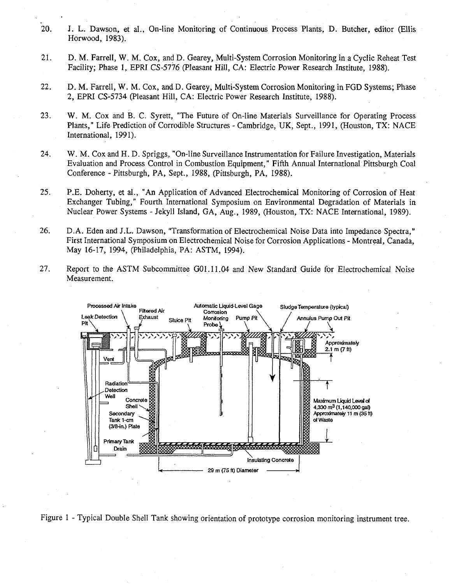- 20. I. L. Dawson, et al., On-line Monitoring of Continuous Process Plants, D. Butcher, editor (Ellis Horwood, 1983).
- 21. D. M. Farrell, W. M. Cox, and D. Gearey, Multi-System Corrosion Monitoring in a Cyclic Reheat Test Facility; Phase 1, EPRI CS-5776 (Pleasant Hill, CA: Electric Power Research Institute, 1988).
- 22. D. M. Farrell, W. M. Cox, and D. Gearey, Multi-System Corrosion Monitoring in FGD Systems; Phase 2, EPRI CS-5734 (Pleasant Hill, CA: Electric Power Research Institute, 1988).
- 23. W. M. Cox and B. C. Syrett, "The Future of On-line Materials Surveillance for Operating Process Plants," Life Prediction of Corrodible Structures - Cambridge, UK, Sept., 1991, (Houston, TX: NACE International, 1991).
- 24. W. M. Cox and H. D. Spriggs, "On-line Surveillance Instrumentation for Failure Investigation, Materials Evaluation and Process Control in Combustion Equipment," Fifth Annual International Pittsburgh Coal Conference - Pittsburgh, PA, Sept., 1988, (Pittsburgh, PA, 1988).
- 25. P.E. Doherty, et al., "An Application of Advanced Electrochemical Monitoring of Corrosion of Heat Exchanger Tubing," Fourth International Symposium on Environmental Degradation of Materials in Nuclear Power Systems - Jekyll Island, GA, Aug., 1989, (Houston, TX: NACE International, 1989).
- 26. D.A. Eden and J.L. Dawson, "Transformation of Electrochemical Noise Data into Impedance Spectra," First International Symposium on Electrochemical Noise for Corrosion Applications - Montreal, Canada, May 16-17, 1994, (Philadelphia, PA: ASTM, 1994).
- 27. Report to the ASTM Subcommittee G01.11.04 and New Standard Guide for Electrochemical Noise Measurement.



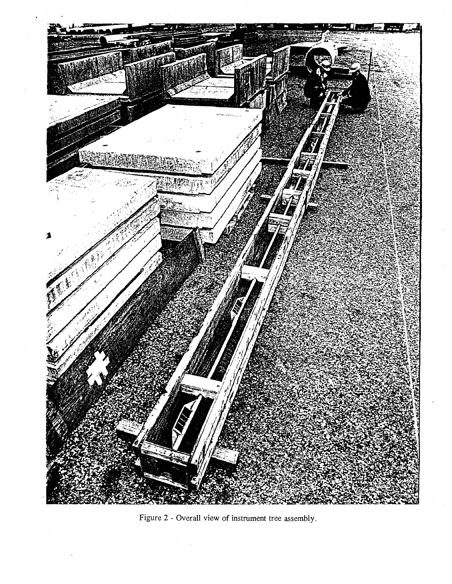

Figure 2 - Overall view of instrument tree assembly.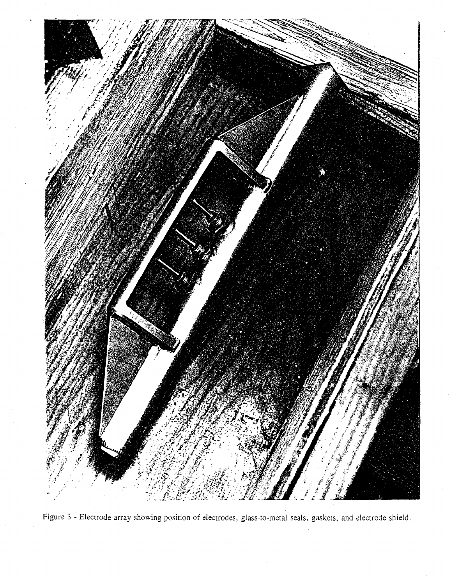

Figure 3 - Electrode array showing position of electrodes, glass-to-metal seals, gaskets, and electrode shield.